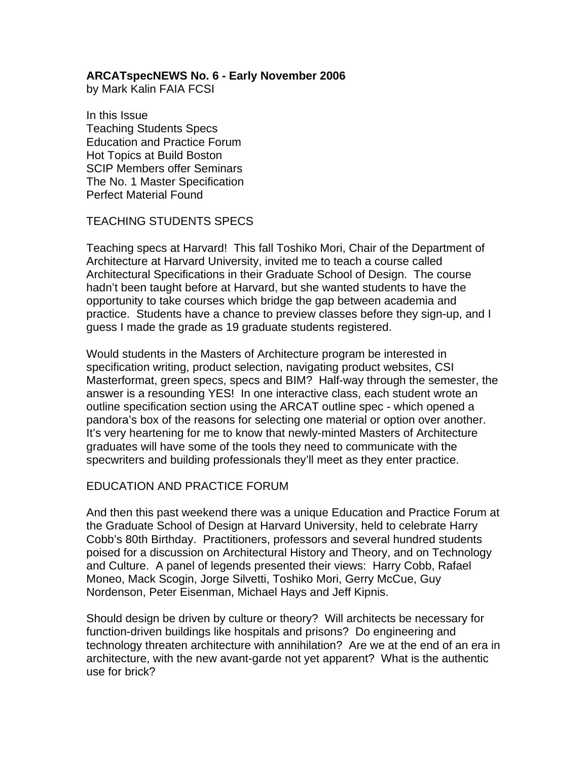# **ARCATspecNEWS No. 6 - Early November 2006**

by Mark Kalin FAIA FCSI

In this Issue Teaching Students Specs Education and Practice Forum Hot Topics at Build Boston SCIP Members offer Seminars The No. 1 Master Specification Perfect Material Found

# TEACHING STUDENTS SPECS

Teaching specs at Harvard! This fall Toshiko Mori, Chair of the Department of Architecture at Harvard University, invited me to teach a course called Architectural Specifications in their Graduate School of Design. The course hadn't been taught before at Harvard, but she wanted students to have the opportunity to take courses which bridge the gap between academia and practice. Students have a chance to preview classes before they sign-up, and I guess I made the grade as 19 graduate students registered.

Would students in the Masters of Architecture program be interested in specification writing, product selection, navigating product websites, CSI Masterformat, green specs, specs and BIM? Half-way through the semester, the answer is a resounding YES! In one interactive class, each student wrote an outline specification section using the ARCAT outline spec - which opened a pandora's box of the reasons for selecting one material or option over another. It's very heartening for me to know that newly-minted Masters of Architecture graduates will have some of the tools they need to communicate with the specwriters and building professionals they'll meet as they enter practice.

# EDUCATION AND PRACTICE FORUM

And then this past weekend there was a unique Education and Practice Forum at the Graduate School of Design at Harvard University, held to celebrate Harry Cobb's 80th Birthday. Practitioners, professors and several hundred students poised for a discussion on Architectural History and Theory, and on Technology and Culture. A panel of legends presented their views: Harry Cobb, Rafael Moneo, Mack Scogin, Jorge Silvetti, Toshiko Mori, Gerry McCue, Guy Nordenson, Peter Eisenman, Michael Hays and Jeff Kipnis.

Should design be driven by culture or theory? Will architects be necessary for function-driven buildings like hospitals and prisons? Do engineering and technology threaten architecture with annihilation? Are we at the end of an era in architecture, with the new avant-garde not yet apparent? What is the authentic use for brick?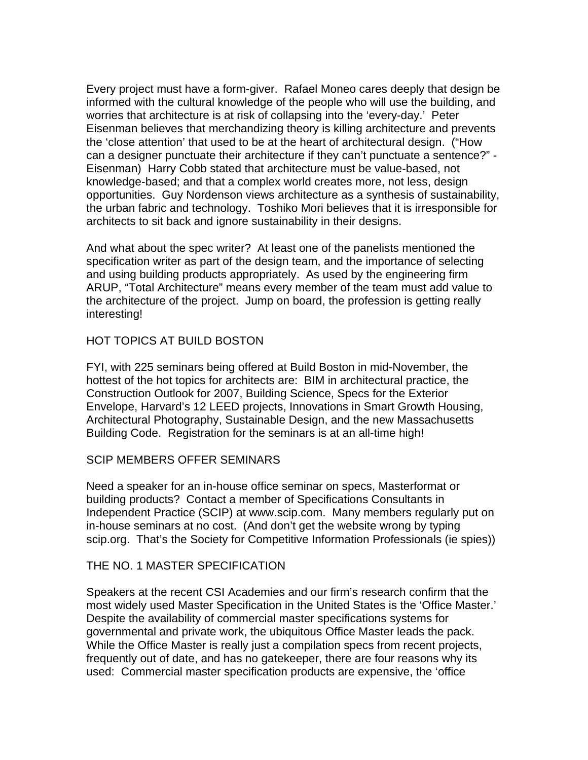Every project must have a form-giver. Rafael Moneo cares deeply that design be informed with the cultural knowledge of the people who will use the building, and worries that architecture is at risk of collapsing into the 'every-day.' Peter Eisenman believes that merchandizing theory is killing architecture and prevents the 'close attention' that used to be at the heart of architectural design. ("How can a designer punctuate their architecture if they can't punctuate a sentence?" - Eisenman) Harry Cobb stated that architecture must be value-based, not knowledge-based; and that a complex world creates more, not less, design opportunities. Guy Nordenson views architecture as a synthesis of sustainability, the urban fabric and technology. Toshiko Mori believes that it is irresponsible for architects to sit back and ignore sustainability in their designs.

And what about the spec writer? At least one of the panelists mentioned the specification writer as part of the design team, and the importance of selecting and using building products appropriately. As used by the engineering firm ARUP, "Total Architecture" means every member of the team must add value to the architecture of the project. Jump on board, the profession is getting really interesting!

### HOT TOPICS AT BUILD BOSTON

FYI, with 225 seminars being offered at Build Boston in mid-November, the hottest of the hot topics for architects are: BIM in architectural practice, the Construction Outlook for 2007, Building Science, Specs for the Exterior Envelope, Harvard's 12 LEED projects, Innovations in Smart Growth Housing, Architectural Photography, Sustainable Design, and the new Massachusetts Building Code. Registration for the seminars is at an all-time high!

#### SCIP MEMBERS OFFER SEMINARS

Need a speaker for an in-house office seminar on specs, Masterformat or building products? Contact a member of Specifications Consultants in Independent Practice (SCIP) at www.scip.com. Many members regularly put on in-house seminars at no cost. (And don't get the website wrong by typing scip.org. That's the Society for Competitive Information Professionals (ie spies))

# THE NO. 1 MASTER SPECIFICATION

Speakers at the recent CSI Academies and our firm's research confirm that the most widely used Master Specification in the United States is the 'Office Master.' Despite the availability of commercial master specifications systems for governmental and private work, the ubiquitous Office Master leads the pack. While the Office Master is really just a compilation specs from recent projects, frequently out of date, and has no gatekeeper, there are four reasons why its used: Commercial master specification products are expensive, the 'office